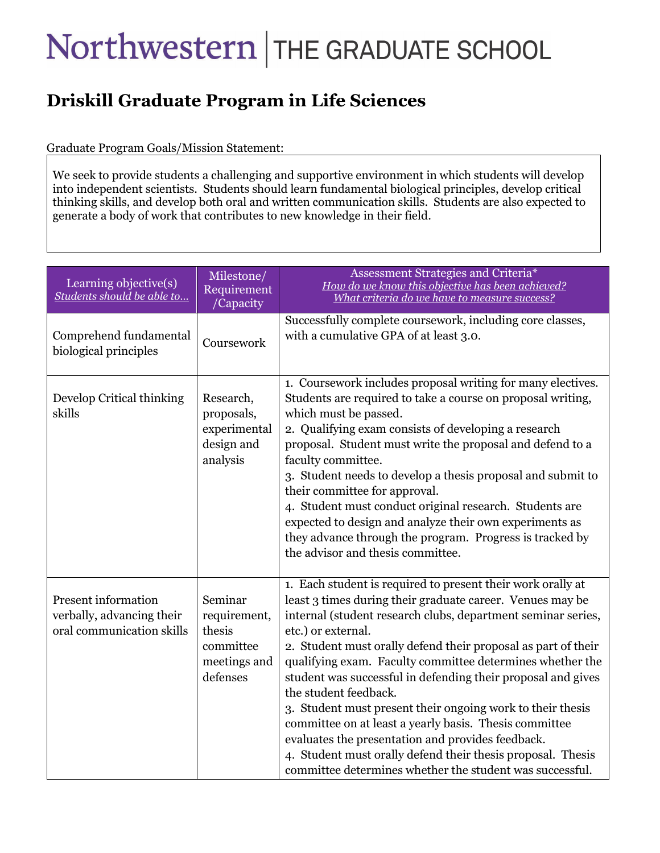## Northwestern THE GRADUATE SCHOOL

## **Driskill Graduate Program in Life Sciences**

## Graduate Program Goals/Mission Statement:

We seek to provide students a challenging and supportive environment in which students will develop into independent scientists. Students should learn fundamental biological principles, develop critical thinking skills, and develop both oral and written communication skills. Students are also expected to generate a body of work that contributes to new knowledge in their field.

| Learning objective(s)<br>Students should be able to                                  | Milestone/<br>Requirement<br>/Capacity                                     | Assessment Strategies and Criteria*<br>How do we know this objective has been achieved?<br>What criteria do we have to measure success?                                                                                                                                                                                                                                                                                                                                                                                                                                                                                                                                                                                                       |
|--------------------------------------------------------------------------------------|----------------------------------------------------------------------------|-----------------------------------------------------------------------------------------------------------------------------------------------------------------------------------------------------------------------------------------------------------------------------------------------------------------------------------------------------------------------------------------------------------------------------------------------------------------------------------------------------------------------------------------------------------------------------------------------------------------------------------------------------------------------------------------------------------------------------------------------|
| Comprehend fundamental<br>biological principles                                      | Coursework                                                                 | Successfully complete coursework, including core classes,<br>with a cumulative GPA of at least 3.0.                                                                                                                                                                                                                                                                                                                                                                                                                                                                                                                                                                                                                                           |
| Develop Critical thinking<br>skills                                                  | Research,<br>proposals,<br>experimental<br>design and<br>analysis          | 1. Coursework includes proposal writing for many electives.<br>Students are required to take a course on proposal writing,<br>which must be passed.<br>2. Qualifying exam consists of developing a research<br>proposal. Student must write the proposal and defend to a<br>faculty committee.<br>3. Student needs to develop a thesis proposal and submit to<br>their committee for approval.<br>4. Student must conduct original research. Students are<br>expected to design and analyze their own experiments as<br>they advance through the program. Progress is tracked by<br>the advisor and thesis committee.                                                                                                                         |
| <b>Present</b> information<br>verbally, advancing their<br>oral communication skills | Seminar<br>requirement,<br>thesis<br>committee<br>meetings and<br>defenses | 1. Each student is required to present their work orally at<br>least 3 times during their graduate career. Venues may be<br>internal (student research clubs, department seminar series,<br>etc.) or external.<br>2. Student must orally defend their proposal as part of their<br>qualifying exam. Faculty committee determines whether the<br>student was successful in defending their proposal and gives<br>the student feedback.<br>3. Student must present their ongoing work to their thesis<br>committee on at least a yearly basis. Thesis committee<br>evaluates the presentation and provides feedback.<br>4. Student must orally defend their thesis proposal. Thesis<br>committee determines whether the student was successful. |